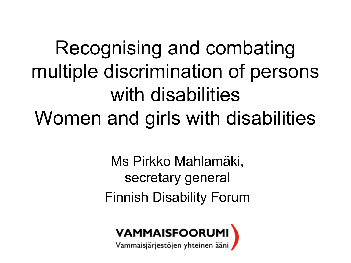Recognising and combating multiple discrimination of persons with disabilities Women and girls with disabilities

> Ms Pirkko Mahlamäki, secretary general Finnish Disability Forum



Vammaisjärjestöjen yhteinen ääni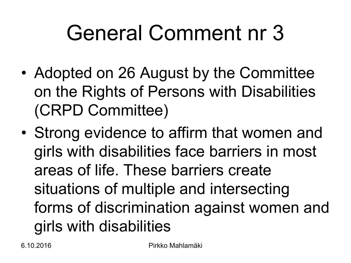### General Comment nr 3

- Adopted on 26 August by the Committee on the Rights of Persons with Disabilities (CRPD Committee)
- Strong evidence to affirm that women and girls with disabilities face barriers in most areas of life. These barriers create situations of multiple and intersecting forms of discrimination against women and girls with disabilities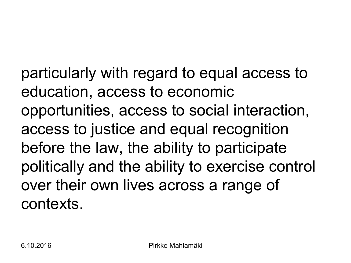particularly with regard to equal access to education, access to economic opportunities, access to social interaction, access to justice and equal recognition before the law, the ability to participate politically and the ability to exercise control over their own lives across a range of contexts.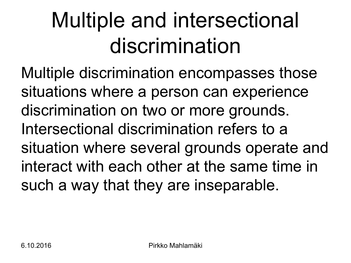## Multiple and intersectional discrimination

Multiple discrimination encompasses those situations where a person can experience discrimination on two or more grounds. Intersectional discrimination refers to a situation where several grounds operate and interact with each other at the same time in such a way that they are inseparable.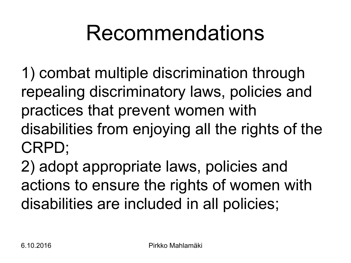#### Recommendations

1) combat multiple discrimination through repealing discriminatory laws, policies and practices that prevent women with disabilities from enjoying all the rights of the CRPD;

2) adopt appropriate laws, policies and actions to ensure the rights of women with disabilities are included in all policies;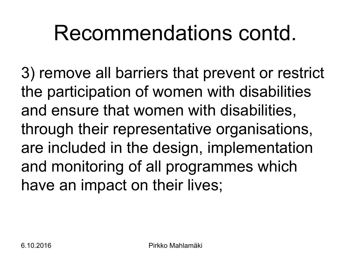#### Recommendations contd.

3) remove all barriers that prevent or restrict the participation of women with disabilities and ensure that women with disabilities, through their representative organisations, are included in the design, implementation and monitoring of all programmes which have an impact on their lives;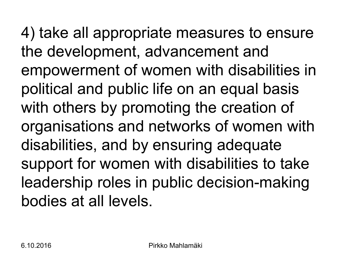4) take all appropriate measures to ensure the development, advancement and empowerment of women with disabilities in political and public life on an equal basis with others by promoting the creation of organisations and networks of women with disabilities, and by ensuring adequate support for women with disabilities to take leadership roles in public decision-making bodies at all levels.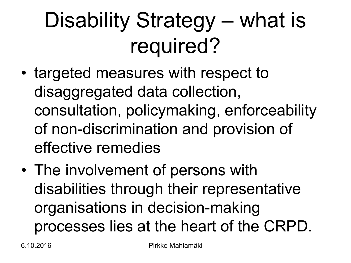## Disability Strategy – what is required?

- targeted measures with respect to disaggregated data collection, consultation, policymaking, enforceability of non-discrimination and provision of effective remedies
- The involvement of persons with disabilities through their representative organisations in decision-making processes lies at the heart of the CRPD.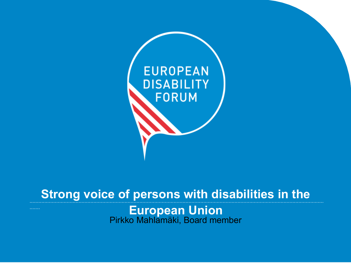

#### Strong voice of persons with disabilities in the

European Union<br>Pirkko Mahlamäki, Board member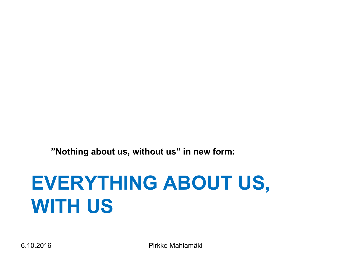**"Nothing about us, without us" in new form:**

#### **EVERYTHING ABOUT US, WITH US**

6.10.2016 Pirkko Mahlamäki